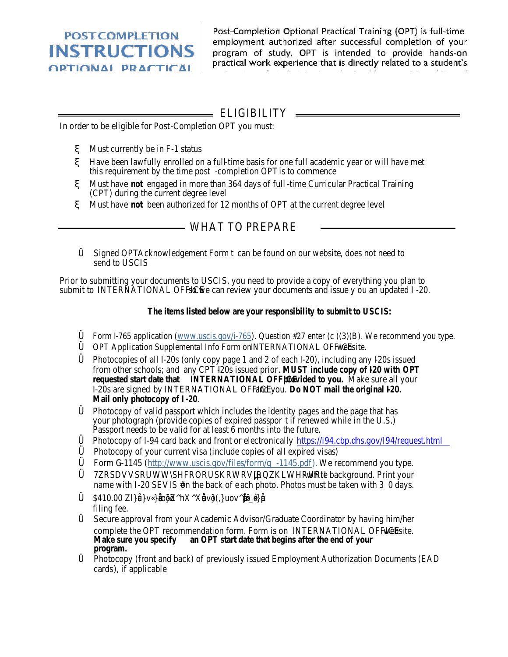POST COMPLETION **INSTRUCTIONS OPTIONAL PRACTICAL** TRAINING (OPT)

 $z^*$  and  $Q^*$ waik waadando Chal is sirok y mikto Sieh Solvies (USDS) felt iden till i ef

## = ELIGIBILITY

In order to be eligible for Post -Completion OPT you must:

Must currently be in F -1 status

Have been lawfully enrolled on a full -time basis for one full academic year or will have met this requirement by the time post -completion OPT is to commence

Must have **not** engaged in more than 364 days of full -time Curricular Practical Training (CPT) during the current degree level

Must have **not** been authorized for 12 months of OPT at the current degree level

### $=$  WHAT TO PREPARE

Signed OPT Acknowledgement Form can be found on our website, does not need to send to USCIS

Prior to submitting your documents to USCIS, you need to provide a copy of everything you plan to submit to INTERNATIONAL OFFICE so we can review your documents and issue y ou an updated I-20.

**The items listed below are your responsibility to submit to USCIS:**

Form I-765 application (www.uscis.gov/i -765). Question #27 enter (c )(3)(B). We recommend you type. OPT Application Supplemental Info Form on INTERNATIONAL OFFICE website.

Photocopies of all I-20s (only copy page 1 and 2 of each I-20), including any I-20s issued from other schools; and any CPT I-20s issued prior. **MUST include copy of I -20 with OPT requested start date that INTERNATIONAL OFFICE** provided to you. Make sure all your I-20s are signed by INTERNATIONAL OFFICE and you. **Do NOT mail the original I -20. Mail only photocopy of I -20**.

Photocopy of valid passport which includes the identity pages and the page that has your photograph (provide copies of expired passpor t if renewed while in the U.S.) Passport needs to be valid for at least 6 months into the future.

Photocopy of I-94 card back and front or electronically https://i94.cbp.dhs.gov/I94/request.html Photocopy of your current visa (include copies of all expi red visas)

Form G -1145 (http://www.uscis.gov/files/form/g -1145.pdf ). We recommend you type. -white background. Print your

name with I-20 SEVIS # on the back of each photo. Photos must be taken with 30 days.

\$410.00

filing fee.

Secure approval from your Academic Advisor/Graduate Coordinator by having him/her complete the OPT recommendation form. Form is on INTERNATIONAL OFFICE website.<br>Make sure you specify an OPT start date that begins after the end of your an OPT start date that begins after the end of your **program.**

Photocopy (front and back) of previously issued Employment Authorization Documents (EAD cards), if applicable